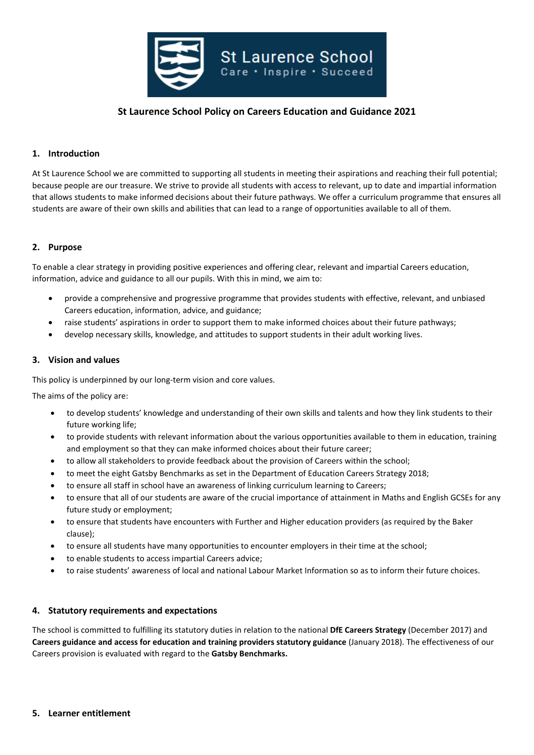

# **St Laurence School Policy on Careers Education and Guidance 2021**

# **1. Introduction**

At St Laurence School we are committed to supporting all students in meeting their aspirations and reaching their full potential; because people are our treasure. We strive to provide all students with access to relevant, up to date and impartial information that allows students to make informed decisions about their future pathways. We offer a curriculum programme that ensures all students are aware of their own skills and abilities that can lead to a range of opportunities available to all of them.

#### **2. Purpose**

To enable a clear strategy in providing positive experiences and offering clear, relevant and impartial Careers education, information, advice and guidance to all our pupils. With this in mind, we aim to:

- provide a comprehensive and progressive programme that provides students with effective, relevant, and unbiased Careers education, information, advice, and guidance;
- raise students' aspirations in order to support them to make informed choices about their future pathways;
- develop necessary skills, knowledge, and attitudes to support students in their adult working lives.

#### **3. Vision and values**

This policy is underpinned by our long-term vision and core values.

The aims of the policy are:

- to develop students' knowledge and understanding of their own skills and talents and how they link students to their future working life;
- to provide students with relevant information about the various opportunities available to them in education, training and employment so that they can make informed choices about their future career;
- to allow all stakeholders to provide feedback about the provision of Careers within the school;
- to meet the eight Gatsby Benchmarks as set in the Department of Education Careers Strategy 2018;
- to ensure all staff in school have an awareness of linking curriculum learning to Careers;
- to ensure that all of our students are aware of the crucial importance of attainment in Maths and English GCSEs for any future study or employment;
- to ensure that students have encounters with Further and Higher education providers (as required by the Baker clause);
- to ensure all students have many opportunities to encounter employers in their time at the school;
- to enable students to access impartial Careers advice;
- to raise students' awareness of local and national Labour Market Information so as to inform their future choices.

#### **4. Statutory requirements and expectations**

The school is committed to fulfilling its statutory duties in relation to the national **DfE Careers Strategy** (December 2017) and **Careers guidance and access for education and training providers statutory guidance** (January 2018). The effectiveness of our Careers provision is evaluated with regard to the **Gatsby Benchmarks.**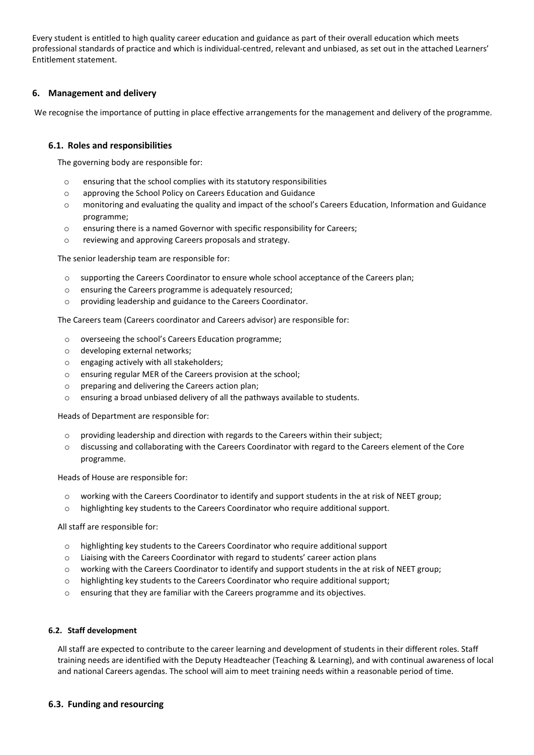Every student is entitled to high quality career education and guidance as part of their overall education which meets professional standards of practice and which is individual-centred, relevant and unbiased, as set out in the attached Learners' Entitlement statement.

# **6. Management and delivery**

We recognise the importance of putting in place effective arrangements for the management and delivery of the programme.

### **6.1. Roles and responsibilities**

The governing body are responsible for:

- o ensuring that the school complies with its statutory responsibilities
- o approving the School Policy on Careers Education and Guidance
- o monitoring and evaluating the quality and impact of the school's Careers Education, Information and Guidance programme;
- o ensuring there is a named Governor with specific responsibility for Careers;
- o reviewing and approving Careers proposals and strategy.

The senior leadership team are responsible for:

- o supporting the Careers Coordinator to ensure whole school acceptance of the Careers plan;
- o ensuring the Careers programme is adequately resourced;
- o providing leadership and guidance to the Careers Coordinator.

The Careers team (Careers coordinator and Careers advisor) are responsible for:

- o overseeing the school's Careers Education programme;
- o developing external networks;
- o engaging actively with all stakeholders;
- o ensuring regular MER of the Careers provision at the school;
- o preparing and delivering the Careers action plan;
- o ensuring a broad unbiased delivery of all the pathways available to students.

Heads of Department are responsible for:

- o providing leadership and direction with regards to the Careers within their subject;
- o discussing and collaborating with the Careers Coordinator with regard to the Careers element of the Core programme.

Heads of House are responsible for:

- o working with the Careers Coordinator to identify and support students in the at risk of NEET group;
- o highlighting key students to the Careers Coordinator who require additional support.

All staff are responsible for:

- o highlighting key students to the Careers Coordinator who require additional support
- o Liaising with the Careers Coordinator with regard to students' career action plans
- o working with the Careers Coordinator to identify and support students in the at risk of NEET group;
- o highlighting key students to the Careers Coordinator who require additional support;
- o ensuring that they are familiar with the Careers programme and its objectives.

#### **6.2. Staff development**

All staff are expected to contribute to the career learning and development of students in their different roles. Staff training needs are identified with the Deputy Headteacher (Teaching & Learning), and with continual awareness of local and national Careers agendas. The school will aim to meet training needs within a reasonable period of time.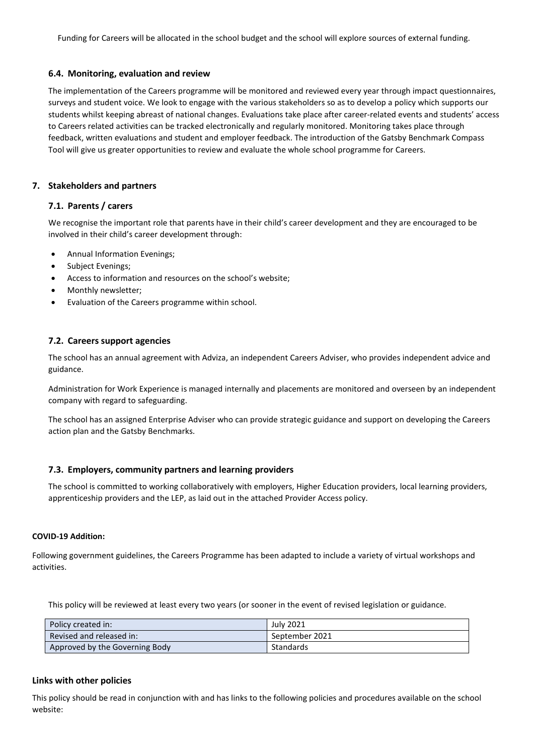Funding for Careers will be allocated in the school budget and the school will explore sources of external funding.

### **6.4. Monitoring, evaluation and review**

The implementation of the Careers programme will be monitored and reviewed every year through impact questionnaires, surveys and student voice. We look to engage with the various stakeholders so as to develop a policy which supports our students whilst keeping abreast of national changes. Evaluations take place after career-related events and students' access to Careers related activities can be tracked electronically and regularly monitored. Monitoring takes place through feedback, written evaluations and student and employer feedback. The introduction of the Gatsby Benchmark Compass Tool will give us greater opportunities to review and evaluate the whole school programme for Careers.

### **7. Stakeholders and partners**

### **7.1. Parents / carers**

We recognise the important role that parents have in their child's career development and they are encouraged to be involved in their child's career development through:

- Annual Information Evenings;
- Subject Evenings;
- Access to information and resources on the school's website;
- Monthly newsletter;
- Evaluation of the Careers programme within school.

### **7.2. Careers support agencies**

The school has an annual agreement with Adviza, an independent Careers Adviser, who provides independent advice and guidance.

Administration for Work Experience is managed internally and placements are monitored and overseen by an independent company with regard to safeguarding.

The school has an assigned Enterprise Adviser who can provide strategic guidance and support on developing the Careers action plan and the Gatsby Benchmarks.

# **7.3. Employers, community partners and learning providers**

The school is committed to working collaboratively with employers, Higher Education providers, local learning providers, apprenticeship providers and the LEP, as laid out in the attached Provider Access policy.

### **COVID-19 Addition:**

Following government guidelines, the Careers Programme has been adapted to include a variety of virtual workshops and activities.

This policy will be reviewed at least every two years (or sooner in the event of revised legislation or guidance.

| Policy created in:             | July 2021        |
|--------------------------------|------------------|
| Revised and released in:       | September 2021   |
| Approved by the Governing Body | <b>Standards</b> |

#### **Links with other policies**

This policy should be read in conjunction with and has links to the following policies and procedures available on the school website: